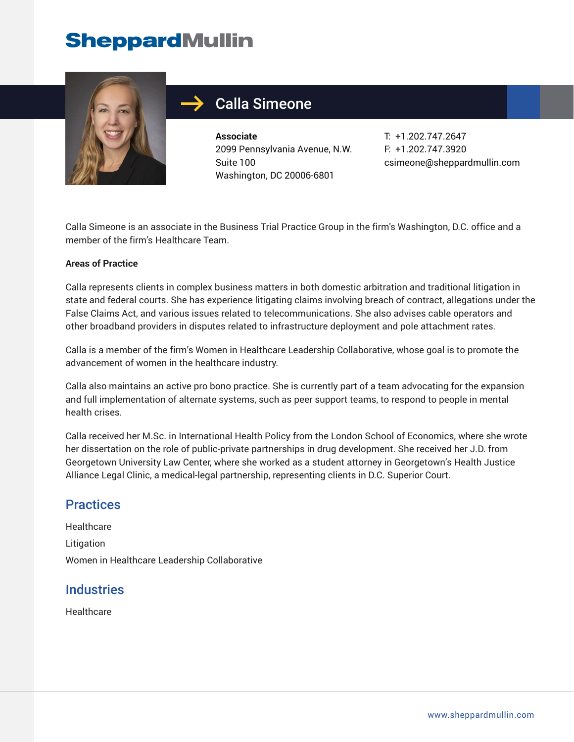## **SheppardMullin**



### Calla Simeone

**Associate** 2099 Pennsylvania Avenue, N.W. Suite 100 Washington, DC 20006-6801

T: +1.202.747.2647 F: +1.202.747.3920 csimeone@sheppardmullin.com

Calla Simeone is an associate in the Business Trial Practice Group in the firm's Washington, D.C. office and a member of the firm's Healthcare Team.

#### **Areas of Practice**

Calla represents clients in complex business matters in both domestic arbitration and traditional litigation in state and federal courts. She has experience litigating claims involving breach of contract, allegations under the False Claims Act, and various issues related to telecommunications. She also advises cable operators and other broadband providers in disputes related to infrastructure deployment and pole attachment rates.

Calla is a member of the firm's Women in Healthcare Leadership Collaborative, whose goal is to promote the advancement of women in the healthcare industry.

Calla also maintains an active pro bono practice. She is currently part of a team advocating for the expansion and full implementation of alternate systems, such as peer support teams, to respond to people in mental health crises.

Calla received her M.Sc. in International Health Policy from the London School of Economics, where she wrote her dissertation on the role of public-private partnerships in drug development. She received her J.D. from Georgetown University Law Center, where she worked as a student attorney in Georgetown's Health Justice Alliance Legal Clinic, a medical-legal partnership, representing clients in D.C. Superior Court.

#### **Practices**

**Healthcare** Litigation Women in Healthcare Leadership Collaborative

#### **Industries**

Healthcare